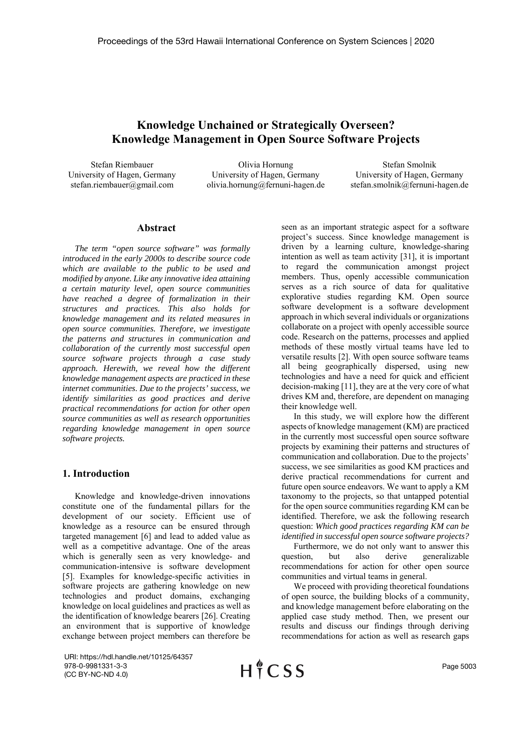# **Knowledge Unchained or Strategically Overseen? Knowledge Management in Open Source Software Projects**

Stefan Riembauer University of Hagen, Germany stefan.riembauer@gmail.com

Olivia Hornung University of Hagen, Germany olivia.hornung@fernuni-hagen.de

Stefan Smolnik University of Hagen, Germany stefan.smolnik@fernuni-hagen.de

### **Abstract**

*The term "open source software" was formally introduced in the early 2000s to describe source code which are available to the public to be used and modified by anyone. Like any innovative idea attaining a certain maturity level, open source communities have reached a degree of formalization in their structures and practices. This also holds for knowledge management and its related measures in open source communities. Therefore, we investigate the patterns and structures in communication and collaboration of the currently most successful open source software projects through a case study approach. Herewith, we reveal how the different knowledge management aspects are practiced in these internet communities. Due to the projects' success, we identify similarities as good practices and derive practical recommendations for action for other open source communities as well as research opportunities regarding knowledge management in open source software projects.*

### **1. Introduction**

Knowledge and knowledge-driven innovations constitute one of the fundamental pillars for the development of our society. Efficient use of knowledge as a resource can be ensured through targeted management [6] and lead to added value as well as a competitive advantage. One of the areas which is generally seen as very knowledge- and communication-intensive is software development [5]. Examples for knowledge-specific activities in software projects are gathering knowledge on new technologies and product domains, exchanging knowledge on local guidelines and practices as well as the identification of knowledge bearers [26]. Creating an environment that is supportive of knowledge exchange between project members can therefore be

URI: https://hdl.handle.net/10125/64357 978-0-9981331-3-3 (CC BY-NC-ND 4.0)

 $H \nmid C$  SS

seen as an important strategic aspect for a software project's success. Since knowledge management is driven by a learning culture, knowledge-sharing intention as well as team activity [31], it is important to regard the communication amongst project members. Thus, openly accessible communication serves as a rich source of data for qualitative explorative studies regarding KM. Open source software development is a software development approach in which several individuals or organizations collaborate on a project with openly accessible source code. Research on the patterns, processes and applied methods of these mostly virtual teams have led to versatile results [2]. With open source software teams all being geographically dispersed, using new technologies and have a need for quick and efficient decision-making [11], they are at the very core of what drives KM and, therefore, are dependent on managing their knowledge well.

In this study, we will explore how the different aspects of knowledge management (KM) are practiced in the currently most successful open source software projects by examining their patterns and structures of communication and collaboration. Due to the projects' success, we see similarities as good KM practices and derive practical recommendations for current and future open source endeavors. We want to apply a KM taxonomy to the projects, so that untapped potential for the open source communities regarding KM can be identified. Therefore, we ask the following research question: *Which good practices regarding KM can be identified in successful open source software projects?* 

Furthermore, we do not only want to answer this question, but also derive generalizable recommendations for action for other open source communities and virtual teams in general.

We proceed with providing theoretical foundations of open source, the building blocks of a community, and knowledge management before elaborating on the applied case study method. Then, we present our results and discuss our findings through deriving recommendations for action as well as research gaps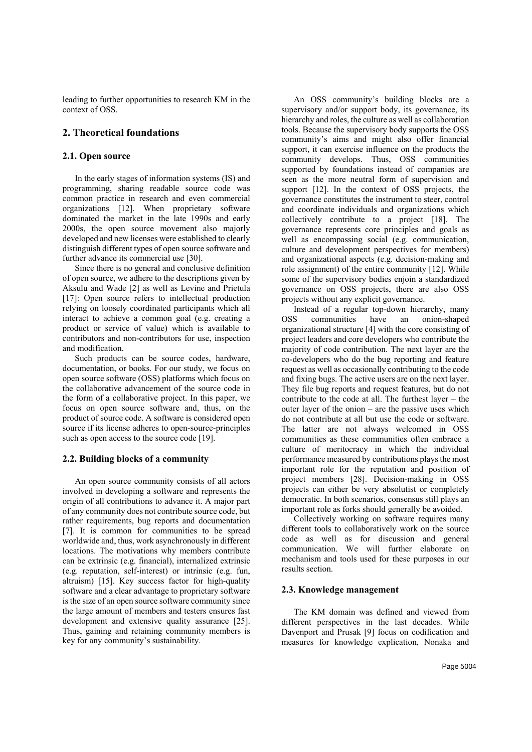leading to further opportunities to research KM in the context of OSS.

# **2. Theoretical foundations**

### **2.1. Open source**

In the early stages of information systems (IS) and programming, sharing readable source code was common practice in research and even commercial organizations [12]. When proprietary software dominated the market in the late 1990s and early 2000s, the open source movement also majorly developed and new licenses were established to clearly distinguish different types of open source software and further advance its commercial use [30].

Since there is no general and conclusive definition of open source, we adhere to the descriptions given by Aksulu and Wade [2] as well as Levine and Prietula [17]: Open source refers to intellectual production relying on loosely coordinated participants which all interact to achieve a common goal (e.g. creating a product or service of value) which is available to contributors and non-contributors for use, inspection and modification.

Such products can be source codes, hardware, documentation, or books. For our study, we focus on open source software (OSS) platforms which focus on the collaborative advancement of the source code in the form of a collaborative project. In this paper, we focus on open source software and, thus, on the product of source code. A software is considered open source if its license adheres to open-source-principles such as open access to the source code [19].

### **2.2. Building blocks of a community**

An open source community consists of all actors involved in developing a software and represents the origin of all contributions to advance it. A major part of any community does not contribute source code, but rather requirements, bug reports and documentation [7]. It is common for communities to be spread worldwide and, thus, work asynchronously in different locations. The motivations why members contribute can be extrinsic (e.g. financial), internalized extrinsic (e.g. reputation, self-interest) or intrinsic (e.g. fun, altruism) [15]. Key success factor for high-quality software and a clear advantage to proprietary software is the size of an open source software community since the large amount of members and testers ensures fast development and extensive quality assurance [25]. Thus, gaining and retaining community members is key for any community's sustainability.

An OSS community's building blocks are a supervisory and/or support body, its governance, its hierarchy and roles, the culture as well as collaboration tools. Because the supervisory body supports the OSS community's aims and might also offer financial support, it can exercise influence on the products the community develops. Thus, OSS communities supported by foundations instead of companies are seen as the more neutral form of supervision and support [12]. In the context of OSS projects, the governance constitutes the instrument to steer, control and coordinate individuals and organizations which collectively contribute to a project [18]. The governance represents core principles and goals as well as encompassing social (e.g. communication, culture and development perspectives for members) and organizational aspects (e.g. decision-making and role assignment) of the entire community [12]. While some of the supervisory bodies enjoin a standardized governance on OSS projects, there are also OSS projects without any explicit governance.

Instead of a regular top-down hierarchy, many OSS communities have an onion-shaped organizational structure [4] with the core consisting of project leaders and core developers who contribute the majority of code contribution. The next layer are the co-developers who do the bug reporting and feature request as well as occasionally contributing to the code and fixing bugs. The active users are on the next layer. They file bug reports and request features, but do not contribute to the code at all. The furthest layer – the outer layer of the onion – are the passive uses which do not contribute at all but use the code or software. The latter are not always welcomed in OSS communities as these communities often embrace a culture of meritocracy in which the individual performance measured by contributions plays the most important role for the reputation and position of project members [28]. Decision-making in OSS projects can either be very absolutist or completely democratic. In both scenarios, consensus still plays an important role as forks should generally be avoided.

Collectively working on software requires many different tools to collaboratively work on the source code as well as for discussion and general communication. We will further elaborate on mechanism and tools used for these purposes in our results section.

#### **2.3. Knowledge management**

The KM domain was defined and viewed from different perspectives in the last decades. While Davenport and Prusak [9] focus on codification and measures for knowledge explication, Nonaka and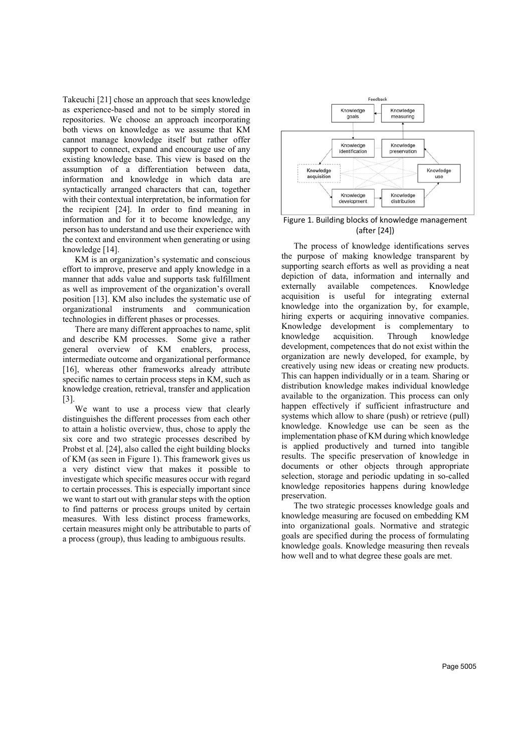Takeuchi [21] chose an approach that sees knowledge as experience-based and not to be simply stored in repositories. We choose an approach incorporating both views on knowledge as we assume that KM cannot manage knowledge itself but rather offer support to connect, expand and encourage use of any existing knowledge base. This view is based on the assumption of a differentiation between data, information and knowledge in which data are syntactically arranged characters that can, together with their contextual interpretation, be information for the recipient [24]. In order to find meaning in information and for it to become knowledge, any person has to understand and use their experience with the context and environment when generating or using knowledge [14].

KM is an organization's systematic and conscious effort to improve, preserve and apply knowledge in a manner that adds value and supports task fulfillment as well as improvement of the organization's overall position [13]. KM also includes the systematic use of organizational instruments and communication technologies in different phases or processes.

There are many different approaches to name, split and describe KM processes. Some give a rather general overview of KM enablers, process, intermediate outcome and organizational performance [16], whereas other frameworks already attribute specific names to certain process steps in KM, such as knowledge creation, retrieval, transfer and application [3].

We want to use a process view that clearly distinguishes the different processes from each other to attain a holistic overview, thus, chose to apply the six core and two strategic processes described by Probst et al. [24], also called the eight building blocks of KM (as seen in Figure 1). This framework gives us a very distinct view that makes it possible to investigate which specific measures occur with regard to certain processes. This is especially important since we want to start out with granular steps with the option to find patterns or process groups united by certain measures. With less distinct process frameworks, certain measures might only be attributable to parts of a process (group), thus leading to ambiguous results.



Figure 1. Building blocks of knowledge management (after [24])

The process of knowledge identifications serves the purpose of making knowledge transparent by supporting search efforts as well as providing a neat depiction of data, information and internally and externally available competences. Knowledge acquisition is useful for integrating external knowledge into the organization by, for example, hiring experts or acquiring innovative companies. Knowledge development is complementary to knowledge acquisition. Through knowledge development, competences that do not exist within the organization are newly developed, for example, by creatively using new ideas or creating new products. This can happen individually or in a team. Sharing or distribution knowledge makes individual knowledge available to the organization. This process can only happen effectively if sufficient infrastructure and systems which allow to share (push) or retrieve (pull) knowledge. Knowledge use can be seen as the implementation phase of KM during which knowledge is applied productively and turned into tangible results. The specific preservation of knowledge in documents or other objects through appropriate selection, storage and periodic updating in so-called knowledge repositories happens during knowledge preservation.

The two strategic processes knowledge goals and knowledge measuring are focused on embedding KM into organizational goals. Normative and strategic goals are specified during the process of formulating knowledge goals. Knowledge measuring then reveals how well and to what degree these goals are met.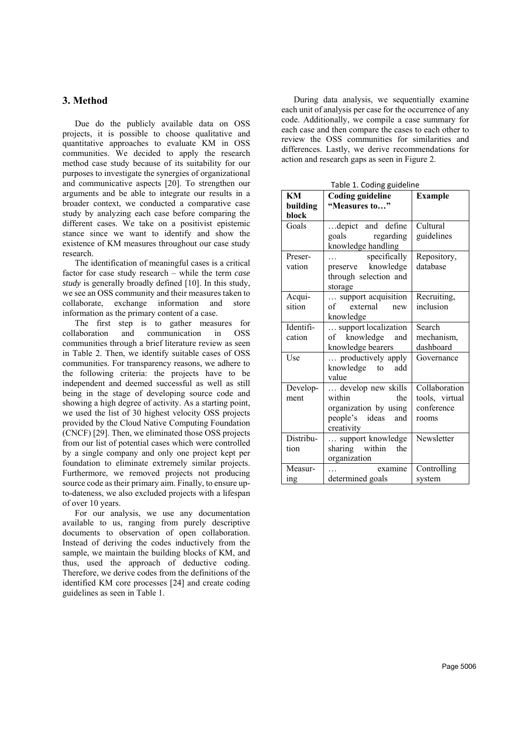# **3. Method**

Due do the publicly available data on OSS projects, it is possible to choose qualitative and quantitative approaches to evaluate KM in OSS communities. We decided to apply the research method case study because of its suitability for our purposes to investigate the synergies of organizational and communicative aspects [20]. To strengthen our arguments and be able to integrate our results in a broader context, we conducted a comparative case study by analyzing each case before comparing the different cases. We take on a positivist epistemic stance since we want to identify and show the existence of KM measures throughout our case study research.

The identification of meaningful cases is a critical factor for case study research – while the term *case study* is generally broadly defined [10]. In this study, we see an OSS community and their measures taken to collaborate, exchange information and store information as the primary content of a case.

The first step is to gather measures for collaboration and communication in OSS communities through a brief literature review as seen in Table 2. Then, we identify suitable cases of OSS communities. For transparency reasons, we adhere to the following criteria: the projects have to be independent and deemed successful as well as still being in the stage of developing source code and showing a high degree of activity. As a starting point, we used the list of 30 highest velocity OSS projects provided by the Cloud Native Computing Foundation (CNCF) [29]. Then, we eliminated those OSS projects from our list of potential cases which were controlled by a single company and only one project kept per foundation to eliminate extremely similar projects. Furthermore, we removed projects not producing source code as their primary aim. Finally, to ensure upto-dateness, we also excluded projects with a lifespan of over 10 years.

For our analysis, we use any documentation available to us, ranging from purely descriptive documents to observation of open collaboration. Instead of deriving the codes inductively from the sample, we maintain the building blocks of KM, and thus, used the approach of deductive coding. Therefore, we derive codes from the definitions of the identified KM core processes [24] and create coding guidelines as seen in Table 1.

During data analysis, we sequentially examine each unit of analysis per case for the occurrence of any code. Additionally, we compile a case summary for each case and then compare the cases to each other to review the OSS communities for similarities and differences. Lastly, we derive recommendations for action and research gaps as seen in Figure 2.

Table 1. Coding guideline

| KM        | rapic 1. Coding guidemic<br><b>Coding guideline</b> | <b>Example</b> |
|-----------|-----------------------------------------------------|----------------|
| building  | "Measures to"                                       |                |
| block     |                                                     |                |
| Goals     | depict and define                                   | Cultural       |
|           | goals regarding                                     | guidelines     |
|           | knowledge handling                                  |                |
| Preser-   | specifically<br><b>Second Contract</b>              | Repository,    |
| vation    | preserve knowledge                                  | database       |
|           | through selection and                               |                |
|           | storage                                             |                |
| Acqui-    | support acquisition                                 | Recruiting,    |
| sition    | of<br>external<br>new                               | inclusion      |
|           | knowledge                                           |                |
| Identifi- | support localization                                | Search         |
| cation    | of knowledge and                                    | mechanism,     |
|           | knowledge bearers                                   | dashboard      |
| Use       | productively apply                                  | Governance     |
|           | knowledge to<br>add                                 |                |
|           | value                                               |                |
| Develop-  | develop new skills                                  | Collaboration  |
| ment      | within<br>the                                       | tools, virtual |
|           | organization by using                               | conference     |
|           | people's ideas<br>and                               | rooms          |
|           | creativity                                          |                |
| Distribu- | support knowledge                                   | Newsletter     |
| tion      | sharing within<br>the                               |                |
|           | organization                                        |                |
| Measur-   | examine                                             | Controlling    |
| ing       | determined goals                                    | system         |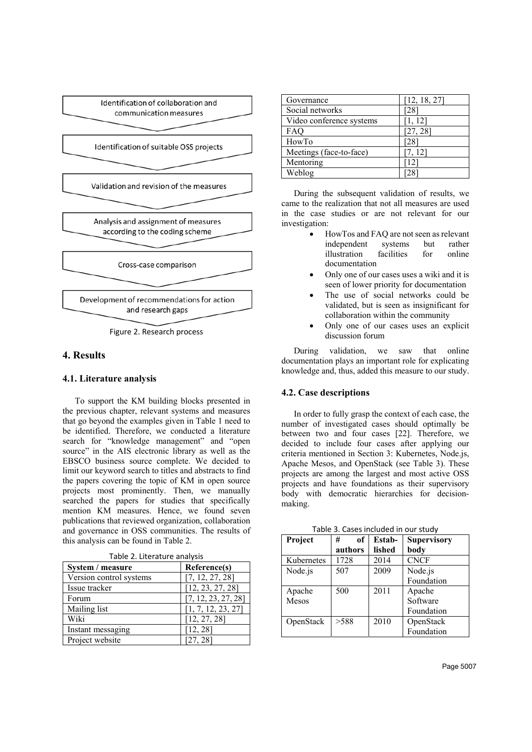

Figure 2. Research process

### **4. Results**

### **4.1. Literature analysis**

To support the KM building blocks presented in the previous chapter, relevant systems and measures that go beyond the examples given in Table 1 need to be identified. Therefore, we conducted a literature search for "knowledge management" and "open source" in the AIS electronic library as well as the EBSCO business source complete. We decided to limit our keyword search to titles and abstracts to find the papers covering the topic of KM in open source projects most prominently. Then, we manually searched the papers for studies that specifically mention KM measures. Hence, we found seven publications that reviewed organization, collaboration and governance in OSS communities. The results of this analysis can be found in Table 2.

| TAME 2. LITETALUI E ANAIVSIS |                     |  |
|------------------------------|---------------------|--|
| System / measure             | Reference(s)        |  |
| Version control systems      | [7, 12, 27, 28]     |  |
| Issue tracker                | [12, 23, 27, 28]    |  |
| Forum                        | [7, 12, 23, 27, 28] |  |
| Mailing list                 | [1, 7, 12, 23, 27]  |  |
| Wiki                         | [12, 27, 28]        |  |
| Instant messaging            | [12, 28]            |  |
| Project website              | [27, 28]            |  |

Table 2. Literature analysis

| Governance               | [12, 18, 27] |
|--------------------------|--------------|
| Social networks          | 28           |
| Video conference systems | [1, 12]      |
| <b>FAO</b>               | [27, 28]     |
| HowTo                    | 28           |
| Meetings (face-to-face)  | [7, 12]      |
| Mentoring                | $12^{\circ}$ |
| Weblog                   |              |
|                          |              |

During the subsequent validation of results, we came to the realization that not all measures are used in the case studies or are not relevant for our investigation:

- HowTos and FAQ are not seen as relevant independent systems but rather<br>illustration facilities for online illustration facilities for online documentation
- Only one of our cases uses a wiki and it is seen of lower priority for documentation
- The use of social networks could be validated, but is seen as insignificant for collaboration within the community
- Only one of our cases uses an explicit discussion forum

During validation, we saw that online documentation plays an important role for explicating knowledge and, thus, added this measure to our study.

### **4.2. Case descriptions**

In order to fully grasp the context of each case, the number of investigated cases should optimally be between two and four cases [22]. Therefore, we decided to include four cases after applying our criteria mentioned in Section 3: Kubernetes, Node.js, Apache Mesos, and OpenStack (see Table 3). These projects are among the largest and most active OSS projects and have foundations as their supervisory body with democratic hierarchies for decisionmaking.

| Project    | of<br># | Estab- | <b>Supervisory</b> |
|------------|---------|--------|--------------------|
|            | authors | lished | body               |
| Kubernetes | 1728    | 2014   | <b>CNCF</b>        |
| Node.js    | 507     | 2009   | Node.js            |
|            |         |        | Foundation         |
| Apache     | 500     | 2011   | Apache             |
| Mesos      |         |        | Software           |
|            |         |        | Foundation         |
| OpenStack  | >588    | 2010   | OpenStack          |
|            |         |        | Foundation         |

Table 3. Cases included in our study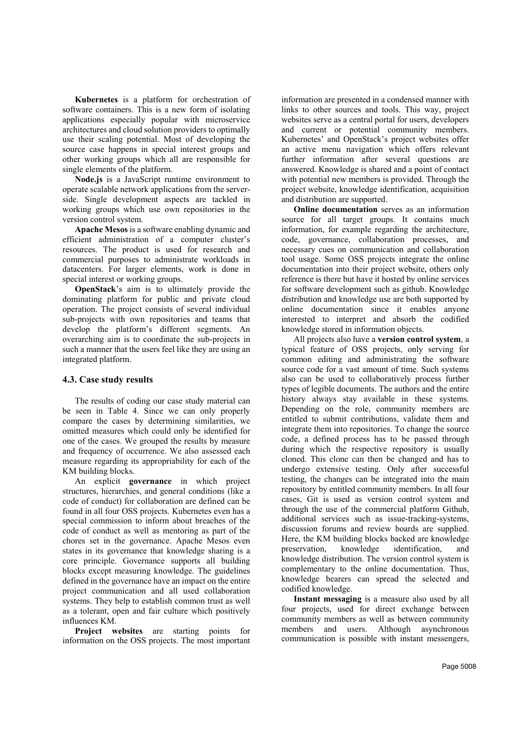**Kubernetes** is a platform for orchestration of software containers. This is a new form of isolating applications especially popular with microservice architectures and cloud solution providers to optimally use their scaling potential. Most of developing the source case happens in special interest groups and other working groups which all are responsible for single elements of the platform.

**Node.js** is a JavaScript runtime environment to operate scalable network applications from the serverside. Single development aspects are tackled in working groups which use own repositories in the version control system.

**Apache Mesos** is a software enabling dynamic and efficient administration of a computer cluster's resources. The product is used for research and commercial purposes to administrate workloads in datacenters. For larger elements, work is done in special interest or working groups.

**OpenStack**'s aim is to ultimately provide the dominating platform for public and private cloud operation. The project consists of several individual sub-projects with own repositories and teams that develop the platform's different segments. An overarching aim is to coordinate the sub-projects in such a manner that the users feel like they are using an integrated platform.

#### **4.3. Case study results**

The results of coding our case study material can be seen in Table 4. Since we can only properly compare the cases by determining similarities, we omitted measures which could only be identified for one of the cases. We grouped the results by measure and frequency of occurrence. We also assessed each measure regarding its appropriability for each of the KM building blocks.

An explicit **governance** in which project structures, hierarchies, and general conditions (like a code of conduct) for collaboration are defined can be found in all four OSS projects. Kubernetes even has a special commission to inform about breaches of the code of conduct as well as mentoring as part of the chores set in the governance. Apache Mesos even states in its governance that knowledge sharing is a core principle. Governance supports all building blocks except measuring knowledge. The guidelines defined in the governance have an impact on the entire project communication and all used collaboration systems. They help to establish common trust as well as a tolerant, open and fair culture which positively influences KM.

**Project websites** are starting points for information on the OSS projects. The most important

information are presented in a condensed manner with links to other sources and tools. This way, project websites serve as a central portal for users, developers and current or potential community members. Kubernetes' and OpenStack's project websites offer an active menu navigation which offers relevant further information after several questions are answered. Knowledge is shared and a point of contact with potential new members is provided. Through the project website, knowledge identification, acquisition and distribution are supported.

**Online documentation** serves as an information source for all target groups. It contains much information, for example regarding the architecture, code, governance, collaboration processes, and necessary cues on communication and collaboration tool usage. Some OSS projects integrate the online documentation into their project website, others only reference is there but have it hosted by online services for software development such as github. Knowledge distribution and knowledge use are both supported by online documentation since it enables anyone interested to interpret and absorb the codified knowledge stored in information objects.

All projects also have a **version control system**, a typical feature of OSS projects, only serving for common editing and administrating the software source code for a vast amount of time. Such systems also can be used to collaboratively process further types of legible documents. The authors and the entire history always stay available in these systems. Depending on the role, community members are entitled to submit contributions, validate them and integrate them into repositories. To change the source code, a defined process has to be passed through during which the respective repository is usually cloned. This clone can then be changed and has to undergo extensive testing. Only after successful testing, the changes can be integrated into the main repository by entitled community members. In all four cases, Git is used as version control system and through the use of the commercial platform Github, additional services such as issue-tracking-systems, discussion forums and review boards are supplied. Here, the KM building blocks backed are knowledge preservation, knowledge identification, and knowledge distribution. The version control system is complementary to the online documentation. Thus, knowledge bearers can spread the selected and codified knowledge.

**Instant messaging** is a measure also used by all four projects, used for direct exchange between community members as well as between community members and users. Although asynchronous communication is possible with instant messengers,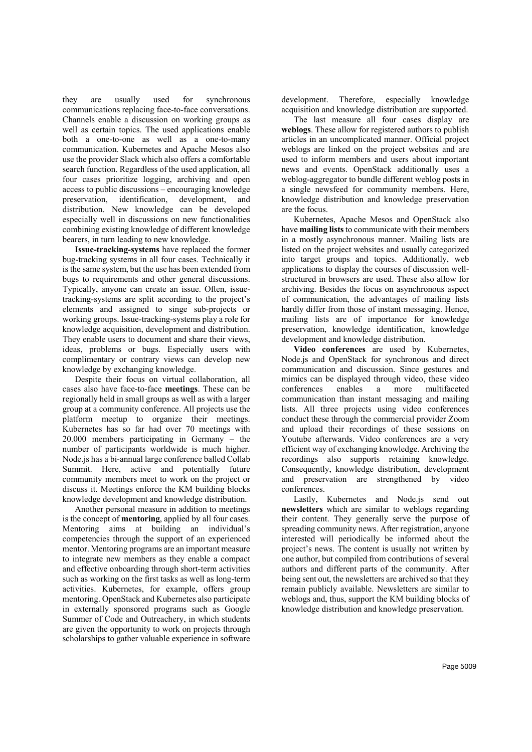they are usually used for synchronous communications replacing face-to-face conversations. Channels enable a discussion on working groups as well as certain topics. The used applications enable both a one-to-one as well as a one-to-many communication. Kubernetes and Apache Mesos also use the provider Slack which also offers a comfortable search function. Regardless of the used application, all four cases prioritize logging, archiving and open access to public discussions – encouraging knowledge preservation, identification, development, and distribution. New knowledge can be developed especially well in discussions on new functionalities combining existing knowledge of different knowledge bearers, in turn leading to new knowledge.

**Issue-tracking-systems** have replaced the former bug-tracking systems in all four cases. Technically it is the same system, but the use has been extended from bugs to requirements and other general discussions. Typically, anyone can create an issue. Often, issuetracking-systems are split according to the project's elements and assigned to singe sub-projects or working groups. Issue-tracking-systems play a role for knowledge acquisition, development and distribution. They enable users to document and share their views, ideas, problems or bugs. Especially users with complimentary or contrary views can develop new knowledge by exchanging knowledge.

Despite their focus on virtual collaboration, all cases also have face-to-face **meetings**. These can be regionally held in small groups as well as with a larger group at a community conference. All projects use the platform meetup to organize their meetings. Kubernetes has so far had over 70 meetings with 20.000 members participating in Germany – the number of participants worldwide is much higher. Node.js has a bi-annual large conference balled Collab Summit. Here, active and potentially future community members meet to work on the project or discuss it. Meetings enforce the KM building blocks knowledge development and knowledge distribution.

Another personal measure in addition to meetings is the concept of **mentoring**, applied by all four cases. Mentoring aims at building an individual's competencies through the support of an experienced mentor. Mentoring programs are an important measure to integrate new members as they enable a compact and effective onboarding through short-term activities such as working on the first tasks as well as long-term activities. Kubernetes, for example, offers group mentoring. OpenStack and Kubernetes also participate in externally sponsored programs such as Google Summer of Code and Outreachery, in which students are given the opportunity to work on projects through scholarships to gather valuable experience in software

development. Therefore, especially knowledge acquisition and knowledge distribution are supported.

The last measure all four cases display are **weblogs**. These allow for registered authors to publish articles in an uncomplicated manner. Official project weblogs are linked on the project websites and are used to inform members and users about important news and events. OpenStack additionally uses a weblog-aggregator to bundle different weblog posts in a single newsfeed for community members. Here, knowledge distribution and knowledge preservation are the focus.

Kubernetes, Apache Mesos and OpenStack also have **mailing lists** to communicate with their members in a mostly asynchronous manner. Mailing lists are listed on the project websites and usually categorized into target groups and topics. Additionally, web applications to display the courses of discussion wellstructured in browsers are used. These also allow for archiving. Besides the focus on asynchronous aspect of communication, the advantages of mailing lists hardly differ from those of instant messaging. Hence, mailing lists are of importance for knowledge preservation, knowledge identification, knowledge development and knowledge distribution.

**Video conferences** are used by Kubernetes, Node.js and OpenStack for synchronous and direct communication and discussion. Since gestures and mimics can be displayed through video, these video conferences enables a more multifaceted communication than instant messaging and mailing lists. All three projects using video conferences conduct these through the commercial provider Zoom and upload their recordings of these sessions on Youtube afterwards. Video conferences are a very efficient way of exchanging knowledge. Archiving the recordings also supports retaining knowledge. Consequently, knowledge distribution, development and preservation are strengthened by video conferences.

Lastly, Kubernetes and Node. is send out **newsletters** which are similar to weblogs regarding their content. They generally serve the purpose of spreading community news. After registration, anyone interested will periodically be informed about the project's news. The content is usually not written by one author, but compiled from contributions of several authors and different parts of the community. After being sent out, the newsletters are archived so that they remain publicly available. Newsletters are similar to weblogs and, thus, support the KM building blocks of knowledge distribution and knowledge preservation.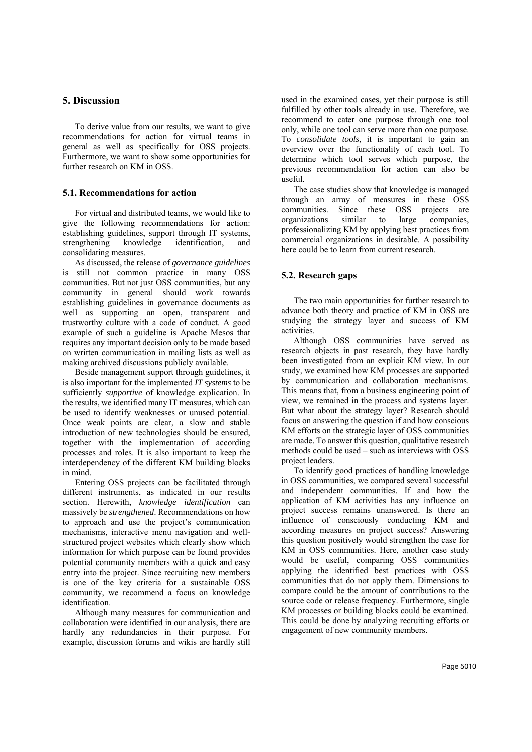## **5. Discussion**

To derive value from our results, we want to give recommendations for action for virtual teams in general as well as specifically for OSS projects. Furthermore, we want to show some opportunities for further research on KM in OSS.

### **5.1. Recommendations for action**

For virtual and distributed teams, we would like to give the following recommendations for action: establishing guidelines, support through IT systems, strengthening knowledge identification, and consolidating measures.

As discussed, the release of *governance guidelines*  is still not common practice in many OSS communities. But not just OSS communities, but any community in general should work towards establishing guidelines in governance documents as well as supporting an open, transparent and trustworthy culture with a code of conduct. A good example of such a guideline is Apache Mesos that requires any important decision only to be made based on written communication in mailing lists as well as making archived discussions publicly available.

Beside management support through guidelines, it is also important for the implemented *IT systems* to be sufficiently *supportive* of knowledge explication. In the results, we identified many IT measures, which can be used to identify weaknesses or unused potential. Once weak points are clear, a slow and stable introduction of new technologies should be ensured, together with the implementation of according processes and roles. It is also important to keep the interdependency of the different KM building blocks in mind.

Entering OSS projects can be facilitated through different instruments, as indicated in our results section. Herewith, *knowledge identification* can massively be *strengthened*. Recommendations on how to approach and use the project's communication mechanisms, interactive menu navigation and wellstructured project websites which clearly show which information for which purpose can be found provides potential community members with a quick and easy entry into the project. Since recruiting new members is one of the key criteria for a sustainable OSS community, we recommend a focus on knowledge identification.

Although many measures for communication and collaboration were identified in our analysis, there are hardly any redundancies in their purpose. For example, discussion forums and wikis are hardly still

used in the examined cases, yet their purpose is still fulfilled by other tools already in use. Therefore, we recommend to cater one purpose through one tool only, while one tool can serve more than one purpose. To *consolidate tools*, it is important to gain an overview over the functionality of each tool. To determine which tool serves which purpose, the previous recommendation for action can also be useful.

The case studies show that knowledge is managed through an array of measures in these OSS communities. Since these OSS projects are organizations similar to large companies, professionalizing KM by applying best practices from commercial organizations in desirable. A possibility here could be to learn from current research.

### **5.2. Research gaps**

The two main opportunities for further research to advance both theory and practice of KM in OSS are studying the strategy layer and success of KM activities.

Although OSS communities have served as research objects in past research, they have hardly been investigated from an explicit KM view. In our study, we examined how KM processes are supported by communication and collaboration mechanisms. This means that, from a business engineering point of view, we remained in the process and systems layer. But what about the strategy layer? Research should focus on answering the question if and how conscious KM efforts on the strategic layer of OSS communities are made. To answer this question, qualitative research methods could be used – such as interviews with OSS project leaders.

To identify good practices of handling knowledge in OSS communities, we compared several successful and independent communities. If and how the application of KM activities has any influence on project success remains unanswered. Is there an influence of consciously conducting KM and according measures on project success? Answering this question positively would strengthen the case for KM in OSS communities. Here, another case study would be useful, comparing OSS communities applying the identified best practices with OSS communities that do not apply them. Dimensions to compare could be the amount of contributions to the source code or release frequency. Furthermore, single KM processes or building blocks could be examined. This could be done by analyzing recruiting efforts or engagement of new community members.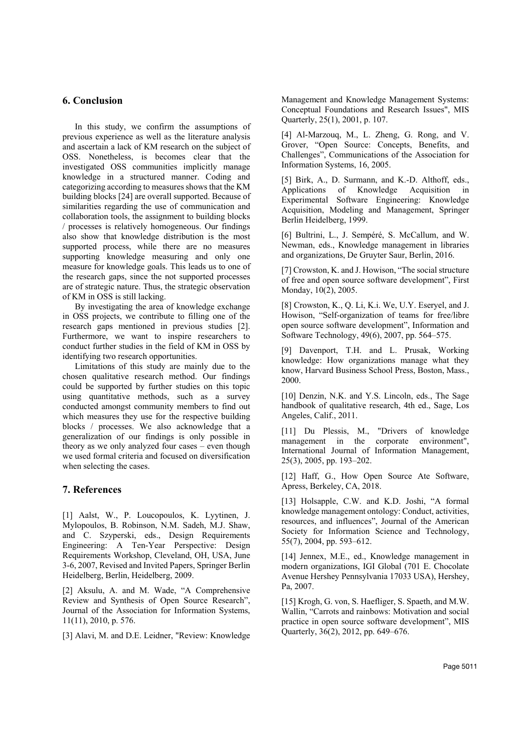# **6. Conclusion**

In this study, we confirm the assumptions of previous experience as well as the literature analysis and ascertain a lack of KM research on the subject of OSS. Nonetheless, is becomes clear that the investigated OSS communities implicitly manage knowledge in a structured manner. Coding and categorizing according to measures shows that the KM building blocks [24] are overall supported. Because of similarities regarding the use of communication and collaboration tools, the assignment to building blocks / processes is relatively homogeneous. Our findings also show that knowledge distribution is the most supported process, while there are no measures supporting knowledge measuring and only one measure for knowledge goals. This leads us to one of the research gaps, since the not supported processes are of strategic nature. Thus, the strategic observation of KM in OSS is still lacking.

By investigating the area of knowledge exchange in OSS projects, we contribute to filling one of the research gaps mentioned in previous studies [2]. Furthermore, we want to inspire researchers to conduct further studies in the field of KM in OSS by identifying two research opportunities.

Limitations of this study are mainly due to the chosen qualitative research method. Our findings could be supported by further studies on this topic using quantitative methods, such as a survey conducted amongst community members to find out which measures they use for the respective building blocks / processes. We also acknowledge that a generalization of our findings is only possible in theory as we only analyzed four cases – even though we used formal criteria and focused on diversification when selecting the cases.

### **7. References**

[1] Aalst, W., P. Loucopoulos, K. Lyytinen, J. Mylopoulos, B. Robinson, N.M. Sadeh, M.J. Shaw, and C. Szyperski, eds., Design Requirements Engineering: A Ten-Year Perspective: Design Requirements Workshop, Cleveland, OH, USA, June 3-6, 2007, Revised and Invited Papers, Springer Berlin Heidelberg, Berlin, Heidelberg, 2009.

[2] Aksulu, A. and M. Wade, "A Comprehensive Review and Synthesis of Open Source Research", Journal of the Association for Information Systems, 11(11), 2010, p. 576.

[3] Alavi, M. and D.E. Leidner, "Review: Knowledge

Management and Knowledge Management Systems: Conceptual Foundations and Research Issues", MIS Quarterly, 25(1), 2001, p. 107.

[4] Al-Marzouq, M., L. Zheng, G. Rong, and V. Grover, "Open Source: Concepts, Benefits, and Challenges", Communications of the Association for Information Systems, 16, 2005.

[5] Birk, A., D. Surmann, and K.-D. Althoff, eds., Applications of Knowledge Acquisition in Experimental Software Engineering: Knowledge Acquisition, Modeling and Management, Springer Berlin Heidelberg, 1999.

[6] Bultrini, L., J. Sempéré, S. McCallum, and W. Newman, eds., Knowledge management in libraries and organizations, De Gruyter Saur, Berlin, 2016.

[7] Crowston, K. and J. Howison, "The social structure of free and open source software development", First Monday, 10(2), 2005.

[8] Crowston, K., Q. Li, K.i. We, U.Y. Eseryel, and J. Howison, "Self-organization of teams for free/libre open source software development", Information and Software Technology, 49(6), 2007, pp. 564–575.

[9] Davenport, T.H. and L. Prusak, Working knowledge: How organizations manage what they know, Harvard Business School Press, Boston, Mass., 2000.

[10] Denzin, N.K. and Y.S. Lincoln, eds., The Sage handbook of qualitative research, 4th ed., Sage, Los Angeles, Calif., 2011.

[11] Du Plessis, M., "Drivers of knowledge management in the corporate environment", International Journal of Information Management, 25(3), 2005, pp. 193–202.

[12] Haff, G., How Open Source Ate Software, Apress, Berkeley, CA, 2018.

[13] Holsapple, C.W. and K.D. Joshi, "A formal knowledge management ontology: Conduct, activities, resources, and influences", Journal of the American Society for Information Science and Technology, 55(7), 2004, pp. 593–612.

[14] Jennex, M.E., ed., Knowledge management in modern organizations, IGI Global (701 E. Chocolate Avenue Hershey Pennsylvania 17033 USA), Hershey, Pa, 2007.

[15] Krogh, G. von, S. Haefliger, S. Spaeth, and M.W. Wallin, "Carrots and rainbows: Motivation and social practice in open source software development", MIS Quarterly, 36(2), 2012, pp. 649–676.